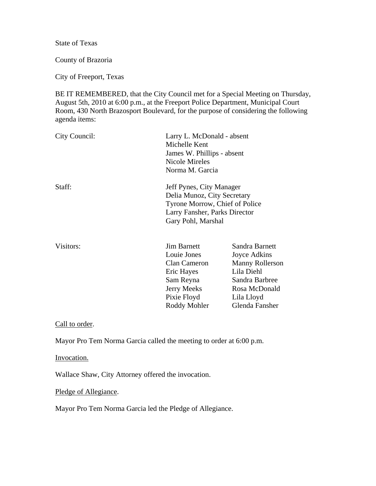State of Texas

County of Brazoria

City of Freeport, Texas

BE IT REMEMBERED, that the City Council met for a Special Meeting on Thursday, August 5th, 2010 at 6:00 p.m., at the Freeport Police Department, Municipal Court Room, 430 North Brazosport Boulevard, for the purpose of considering the following agenda items:

| City Council: | Larry L. McDonald - absent<br>Michelle Kent<br>James W. Phillips - absent<br>Nicole Mireles<br>Norma M. Garcia                                   |                                                                                                                                           |
|---------------|--------------------------------------------------------------------------------------------------------------------------------------------------|-------------------------------------------------------------------------------------------------------------------------------------------|
| Staff:        | Jeff Pynes, City Manager<br>Delia Munoz, City Secretary<br>Tyrone Morrow, Chief of Police<br>Larry Fansher, Parks Director<br>Gary Pohl, Marshal |                                                                                                                                           |
| Visitors:     | <b>Jim Barnett</b><br>Louie Jones<br>Clan Cameron<br>Eric Hayes<br>Sam Reyna<br><b>Jerry Meeks</b><br>Pixie Floyd<br>Roddy Mohler                | Sandra Barnett<br>Joyce Adkins<br><b>Manny Rollerson</b><br>Lila Diehl<br>Sandra Barbree<br>Rosa McDonald<br>Lila Lloyd<br>Glenda Fansher |

Call to order.

Mayor Pro Tem Norma Garcia called the meeting to order at 6:00 p.m.

Invocation.

Wallace Shaw, City Attorney offered the invocation.

Pledge of Allegiance.

Mayor Pro Tem Norma Garcia led the Pledge of Allegiance.